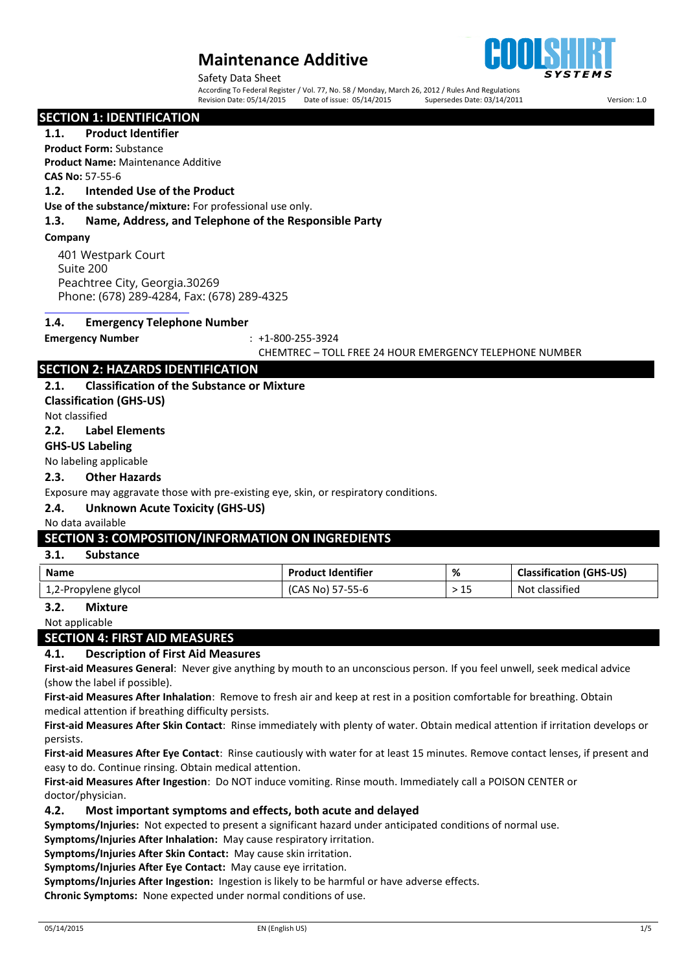

Safety Data Sheet

According To Federal Register / Vol. 77, No. 58 / Monday, March 26, 2012 / Rules And Regulations<br>Revision Date: 05/14/2015 Date of issue: 05/14/2015 Supersedes Date: Revision Date: 05/14/2015 Date of issue: 05/14/2015 Supersedes Date: 03/14/2011 Version: 1.0

#### **SECTION 1: IDENTIFICATION**

**1.1. Product Identifier**

**Product Form:** Substance **Product Name:** Maintenance Additive

**CAS No:** 57-55-6

#### **1.2. Intended Use of the Product**

**Use of the substance/mixture:** For professional use only.

#### **1.3. Name, Address, and Telephone of the Responsible Party**

**Company**

401 Westpark Court Suite 200 Peachtree City, Georgia.30269 Phone: (678) 289-4284, Fax: (678) 289-4325

#### **1.4. Emergency Telephone Number**

**Emergency Number** : +1-800-255-3924

#### CHEMTREC – TOLL FREE 24 HOUR EMERGENCY TELEPHONE NUMBER

# **SECTION 2: HAZARDS IDENTIFICATION**

#### **2.1. Classification of the Substance or Mixture**

**Classification (GHS-US)** Not classified

#### **2.2. Label Elements**

### **GHS-US Labeling**

#### No labeling applicable

#### **2.3. Other Hazards**

Exposure may aggravate those with pre-existing eye, skin, or respiratory conditions.

# **2.4. Unknown Acute Toxicity (GHS-US)**

# No data available

# **SECTION 3: COMPOSITION/INFORMATION ON INGREDIENTS**

# **3.1. Substance**

| Name                 | <b>Product Identifier</b> | %   | <b>Classification (GHS-US)</b> |
|----------------------|---------------------------|-----|--------------------------------|
| 1,2-Propylene glycol | (CAS No) 57-55-6          | >15 | Not classified                 |

### **3.2. Mixture**

Not applicable

# **SECTION 4: FIRST AID MEASURES**

# **4.1. Description of First Aid Measures**

**First-aid Measures General**: Never give anything by mouth to an unconscious person. If you feel unwell, seek medical advice (show the label if possible).

**First-aid Measures After Inhalation**: Remove to fresh air and keep at rest in a position comfortable for breathing. Obtain medical attention if breathing difficulty persists.

**First-aid Measures After Skin Contact**: Rinse immediately with plenty of water. Obtain medical attention if irritation develops or persists.

**First-aid Measures After Eye Contact**: Rinse cautiously with water for at least 15 minutes. Remove contact lenses, if present and easy to do. Continue rinsing. Obtain medical attention.

**First-aid Measures After Ingestion**: Do NOT induce vomiting. Rinse mouth. Immediately call a POISON CENTER or doctor/physician.

#### **4.2. Most important symptoms and effects, both acute and delayed**

**Symptoms/Injuries:** Not expected to present a significant hazard under anticipated conditions of normal use.

**Symptoms/Injuries After Inhalation:** May cause respiratory irritation.

**Symptoms/Injuries After Skin Contact:** May cause skin irritation.

**Symptoms/Injuries After Eye Contact:** May cause eye irritation.

**Symptoms/Injuries After Ingestion:** Ingestion is likely to be harmful or have adverse effects.

**Chronic Symptoms:** None expected under normal conditions of use.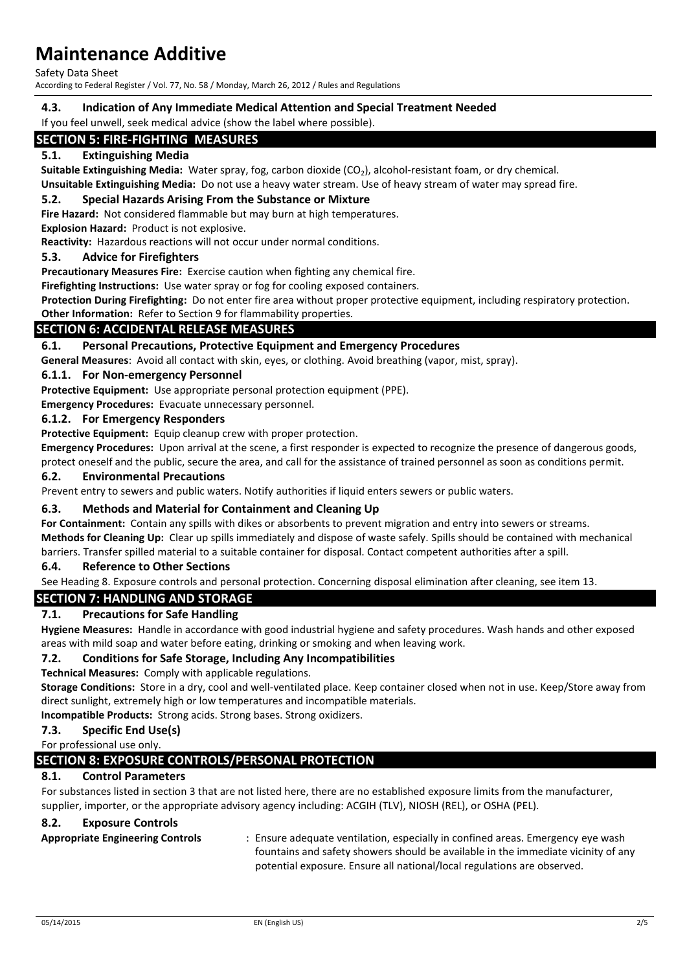Safety Data Sheet

According to Federal Register / Vol. 77, No. 58 / Monday, March 26, 2012 / Rules and Regulations

**4.3. Indication of Any Immediate Medical Attention and Special Treatment Needed**

If you feel unwell, seek medical advice (show the label where possible).

# **SECTION 5: FIRE-FIGHTING MEASURES**

# **5.1. Extinguishing Media**

**Suitable Extinguishing Media:** Water spray, fog, carbon dioxide (CO<sub>2</sub>), alcohol-resistant foam, or dry chemical.

**Unsuitable Extinguishing Media:** Do not use a heavy water stream. Use of heavy stream of water may spread fire.

#### **5.2. Special Hazards Arising From the Substance or Mixture**

**Fire Hazard:** Not considered flammable but may burn at high temperatures.

**Explosion Hazard:** Product is not explosive.

**Reactivity:** Hazardous reactions will not occur under normal conditions.

#### **5.3. Advice for Firefighters**

**Precautionary Measures Fire:** Exercise caution when fighting any chemical fire.

**Firefighting Instructions:** Use water spray or fog for cooling exposed containers.

**Protection During Firefighting:** Do not enter fire area without proper protective equipment, including respiratory protection.

**Other Information:** Refer to Section 9 for flammability properties.

# **SECTION 6: ACCIDENTAL RELEASE MEASURES**

### **6.1. Personal Precautions, Protective Equipment and Emergency Procedures**

**General Measures**: Avoid all contact with skin, eyes, or clothing. Avoid breathing (vapor, mist, spray).

#### **6.1.1. For Non-emergency Personnel**

**Protective Equipment:** Use appropriate personal protection equipment (PPE).

**Emergency Procedures:** Evacuate unnecessary personnel.

#### **6.1.2. For Emergency Responders**

**Protective Equipment:** Equip cleanup crew with proper protection.

**Emergency Procedures:** Upon arrival at the scene, a first responder is expected to recognize the presence of dangerous goods, protect oneself and the public, secure the area, and call for the assistance of trained personnel as soon as conditions permit.

# **6.2. Environmental Precautions**

Prevent entry to sewers and public waters. Notify authorities if liquid enters sewers or public waters.

#### **6.3. Methods and Material for Containment and Cleaning Up**

**For Containment:** Contain any spills with dikes or absorbents to prevent migration and entry into sewers or streams. **Methods for Cleaning Up:** Clear up spills immediately and dispose of waste safely. Spills should be contained with mechanical barriers. Transfer spilled material to a suitable container for disposal. Contact competent authorities after a spill.

#### **6.4. Reference to Other Sections**

See Heading 8. Exposure controls and personal protection. Concerning disposal elimination after cleaning, see item 13.

#### **SECTION 7: HANDLING AND STORAGE**

#### **7.1. Precautions for Safe Handling**

**Hygiene Measures:** Handle in accordance with good industrial hygiene and safety procedures. Wash hands and other exposed areas with mild soap and water before eating, drinking or smoking and when leaving work.

#### **7.2. Conditions for Safe Storage, Including Any Incompatibilities**

**Technical Measures:** Comply with applicable regulations.

**Storage Conditions:** Store in a dry, cool and well-ventilated place. Keep container closed when not in use. Keep/Store away from direct sunlight, extremely high or low temperatures and incompatible materials.

**Incompatible Products:** Strong acids. Strong bases. Strong oxidizers.

#### **7.3. Specific End Use(s)**

For professional use only.

# **SECTION 8: EXPOSURE CONTROLS/PERSONAL PROTECTION**

#### **8.1. Control Parameters**

For substances listed in section 3 that are not listed here, there are no established exposure limits from the manufacturer, supplier, importer, or the appropriate advisory agency including: ACGIH (TLV), NIOSH (REL), or OSHA (PEL).

#### **8.2. Exposure Controls**

**Appropriate Engineering Controls** : Ensure adequate ventilation, especially in confined areas. Emergency eye wash fountains and safety showers should be available in the immediate vicinity of any potential exposure. Ensure all national/local regulations are observed.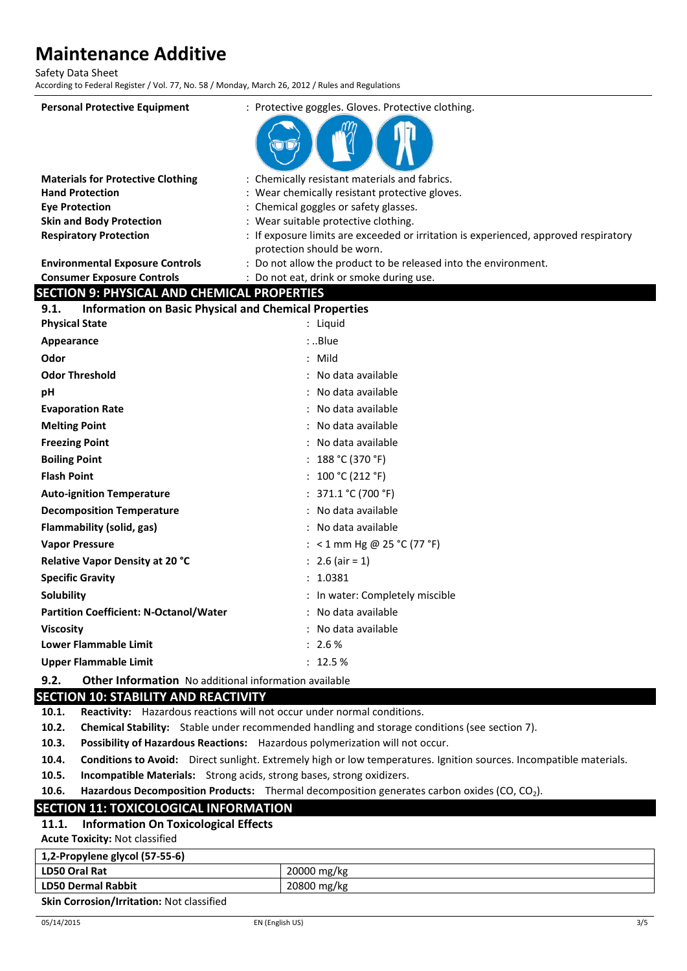Safety Data Sheet

According to Federal Register / Vol. 77, No. 58 / Monday, March 26, 2012 / Rules and Regulations

| <b>Personal Protective Equipment</b>                                 | : Protective goggles. Gloves. Protective clothing.                                            |
|----------------------------------------------------------------------|-----------------------------------------------------------------------------------------------|
|                                                                      |                                                                                               |
|                                                                      |                                                                                               |
|                                                                      |                                                                                               |
| <b>Materials for Protective Clothing</b>                             | : Chemically resistant materials and fabrics.                                                 |
| <b>Hand Protection</b>                                               | : Wear chemically resistant protective gloves.                                                |
| <b>Eye Protection</b>                                                | : Chemical goggles or safety glasses.                                                         |
| <b>Skin and Body Protection</b>                                      | : Wear suitable protective clothing.                                                          |
| <b>Respiratory Protection</b>                                        | : If exposure limits are exceeded or irritation is experienced, approved respiratory          |
| <b>Environmental Exposure Controls</b>                               | protection should be worn.<br>: Do not allow the product to be released into the environment. |
| <b>Consumer Exposure Controls</b>                                    | : Do not eat, drink or smoke during use.                                                      |
| <b>SECTION 9: PHYSICAL AND CHEMICAL PROPERTIES</b>                   |                                                                                               |
| <b>Information on Basic Physical and Chemical Properties</b><br>9.1. |                                                                                               |
| <b>Physical State</b>                                                | : Liquid                                                                                      |
| Appearance                                                           | : .Blue                                                                                       |
| Odor                                                                 | $:$ Mild                                                                                      |
| <b>Odor Threshold</b>                                                | : No data available                                                                           |
| рH                                                                   | : No data available                                                                           |
| <b>Evaporation Rate</b>                                              | : No data available                                                                           |
| <b>Melting Point</b>                                                 | : No data available                                                                           |
| <b>Freezing Point</b>                                                | : No data available                                                                           |
| <b>Boiling Point</b>                                                 | : $188 °C (370 °F)$                                                                           |
| <b>Flash Point</b>                                                   | : $100 °C (212 °F)$                                                                           |
| <b>Auto-ignition Temperature</b>                                     | : $371.1 °C (700 °F)$                                                                         |
| <b>Decomposition Temperature</b>                                     | : No data available                                                                           |
| Flammability (solid, gas)                                            | : No data available                                                                           |
| <b>Vapor Pressure</b>                                                | : < 1 mm Hg @ 25 °C (77 °F)                                                                   |
| Relative Vapor Density at 20 °C                                      | : 2.6 (air = 1)                                                                               |
| <b>Specific Gravity</b>                                              | : 1.0381                                                                                      |
| Solubility                                                           | : In water: Completely miscible                                                               |
| <b>Partition Coefficient: N-Octanol/Water</b>                        | : No data available                                                                           |
| <b>Viscosity</b>                                                     | : No data available                                                                           |
| <b>Lower Flammable Limit</b>                                         | : 2.6%                                                                                        |
| <b>Upper Flammable Limit</b>                                         | : 12.5%                                                                                       |
|                                                                      |                                                                                               |

**9.2. Other Information** No additional information available

# **SECTION 10: STABILITY AND REACTIVITY**

**10.1. Reactivity:** Hazardous reactions will not occur under normal conditions.

**10.2. Chemical Stability:** Stable under recommended handling and storage conditions (see section 7).

**10.3. Possibility of Hazardous Reactions:** Hazardous polymerization will not occur.

**10.4. Conditions to Avoid:** Direct sunlight. Extremely high or low temperatures. Ignition sources. Incompatible materials.

**10.5. Incompatible Materials:** Strong acids, strong bases, strong oxidizers.

**10.6. Hazardous Decomposition Products:** Thermal decomposition generates carbon oxides (CO, CO2).

# **SECTION 11: TOXICOLOGICAL INFORMATION**

# **11.1. Information On Toxicological Effects**

**Acute Toxicity:** Not classified

| 1,2-Propylene glycol (57-55-6)                        |             |
|-------------------------------------------------------|-------------|
| <b>LD50 Oral Rat</b>                                  | 20000 mg/kg |
| <b>LD50 Dermal Rabbit</b>                             | 20800 mg/kg |
| المتعادل المتحدث والمتحدث والمتحدث والمستحدث والمتحدث |             |

**Skin Corrosion/Irritation:** Not classified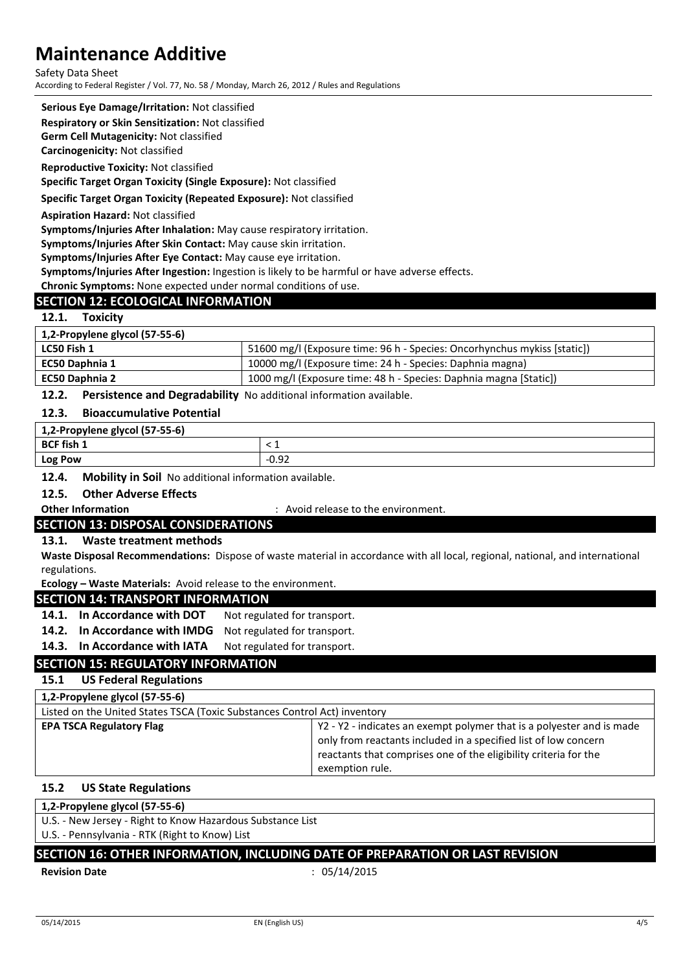Safety Data Sheet According to Federal Register / Vol. 77, No. 58 / Monday, March 26, 2012 / Rules and Regulations

#### **Serious Eye Damage/Irritation:** Not classified

**Respiratory or Skin Sensitization:** Not classified

**Germ Cell Mutagenicity:** Not classified

**Carcinogenicity:** Not classified

**Reproductive Toxicity:** Not classified

**Specific Target Organ Toxicity (Single Exposure):** Not classified

#### **Specific Target Organ Toxicity (Repeated Exposure):** Not classified

**Aspiration Hazard:** Not classified

**Symptoms/Injuries After Inhalation:** May cause respiratory irritation.

**Symptoms/Injuries After Skin Contact:** May cause skin irritation.

**Symptoms/Injuries After Eye Contact:** May cause eye irritation.

**Symptoms/Injuries After Ingestion:** Ingestion is likely to be harmful or have adverse effects.

**Chronic Symptoms:** None expected under normal conditions of use.

# **SECTION 12: ECOLOGICAL INFORMATION**

#### **12.1. Toxicity**

| 1,2-Propylene glycol (57-55-6) |                                                                          |
|--------------------------------|--------------------------------------------------------------------------|
| LC50 Fish 1                    | 51600 mg/l (Exposure time: 96 h - Species: Oncorhynchus mykiss [static]) |
| EC50 Daphnia 1                 | 10000 mg/l (Exposure time: 24 h - Species: Daphnia magna)                |
| EC50 Daphnia 2                 | 1000 mg/l (Exposure time: 48 h - Species: Daphnia magna [Static])        |

#### **12.2. Persistence and Degradability** No additional information available.

#### **12.3. Bioaccumulative Potential**

| 1,2-Propylene glycol (57-55-6) |      |
|--------------------------------|------|
| <b>BCF fish 1</b>              |      |
| Log Pow                        | 0.92 |

### **12.4. Mobility in Soil** No additional information available.

#### **12.5. Other Adverse Effects**

**Other Information** : Avoid release to the environment.

### **SECTION 13: DISPOSAL CONSIDERATIONS**

#### **13.1. Waste treatment methods**

**Waste Disposal Recommendations:** Dispose of waste material in accordance with all local, regional, national, and international regulations.

**Ecology – Waste Materials:** Avoid release to the environment.

#### **SECTION 14: TRANSPORT INFORMATION**

14.1. In Accordance with DOT Not regulated for transport.

**14.2. In Accordance with IMDG** Not regulated for transport.

14.3. In Accordance with IATA Not regulated for transport.

# **SECTION 15: REGULATORY INFORMATION**

# **15.1 US Federal Regulations**

| 1,2-Propylene glycol (57-55-6)                                            |                                                                                                                                                                                                                                 |
|---------------------------------------------------------------------------|---------------------------------------------------------------------------------------------------------------------------------------------------------------------------------------------------------------------------------|
| Listed on the United States TSCA (Toxic Substances Control Act) inventory |                                                                                                                                                                                                                                 |
| <b>EPA TSCA Regulatory Flag</b>                                           | Y2 - Y2 - indicates an exempt polymer that is a polyester and is made<br>only from reactants included in a specified list of low concern<br>reactants that comprises one of the eligibility criteria for the<br>exemption rule. |

# **15.2 US State Regulations**

#### **1,2-Propylene glycol (57-55-6)**

U.S. - New Jersey - Right to Know Hazardous Substance List

U.S. - Pennsylvania - RTK (Right to Know) List

# **SECTION 16: OTHER INFORMATION, INCLUDING DATE OF PREPARATION OR LAST REVISION**

#### **Revision Date** : 05/14/2015